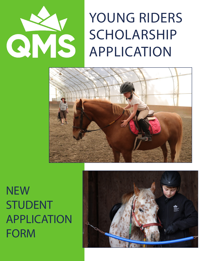

## YOUNG RIDERS SCHOLARSHIP APPLICATION



**NEW** STUDENT APPLICATION FORM

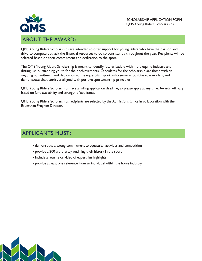

QMS Young Riders Scholarships are intended to offer support for young riders who have the passion and drive to compete but lack the financial resources to do so consistently throughout the year. Recipients will be selected based on their commitment and dedication to the sport.

The QMS Young Riders Scholarship is meant to identify future leaders within the equine industry and distinguish outstanding youth for their achievements. Candidates for the scholarship are those with an ongoing commitment and dedication to the equestrian sport, who serve as positive role models, and demonstrate characteristics aligned with positive sportsmanship principles.

QMS Young Riders Scholarships have a rolling application deadline, so please apply at any time. Awards will vary based on fund availability and strength of applicants.

QMS Young Riders Scholarships recipients are selected by the Admissions Office in collaboration with the Equestrian Program Director.

## APPLICANTS MUST:

- demonstrate a strong commitment to equestrian activities and competition
- provide a 200 word essay outlining their history in the sport
- include a resume or video of equestrian highlights
- provide at least one reference from an individual within the horse industry

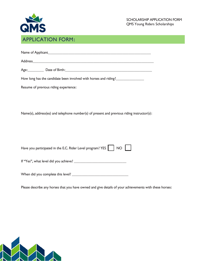

| Name of Applicant_ |  |  |  |
|--------------------|--|--|--|
|                    |  |  |  |

Address\_\_\_\_\_\_\_\_\_\_\_\_\_\_\_\_\_\_\_\_\_\_\_\_\_\_\_\_\_\_\_\_\_\_\_\_\_\_\_\_\_\_\_\_\_\_\_\_\_\_\_\_\_\_\_\_\_\_\_\_

Age:\_\_\_\_\_\_\_\_ Date of Birth:\_\_\_\_\_\_\_\_\_\_\_\_\_\_\_\_\_\_\_\_\_\_\_\_\_\_\_\_\_\_\_\_\_\_\_\_\_\_\_\_\_\_\_

How long has the candidate been involved with horses and riding?\_\_\_\_\_\_\_\_\_\_\_\_\_\_\_\_

Resume of previous riding experience:

Name(s), address(es) and telephone number(s) of present and previous riding instructor(s):

|  | Have you participated in the E.C. Rider Level program? YES NO |  |  |  |  |
|--|---------------------------------------------------------------|--|--|--|--|
|--|---------------------------------------------------------------|--|--|--|--|

If "Yes", what level did you achieve? \_\_\_\_\_\_\_\_\_\_\_\_\_\_\_\_\_\_\_\_\_\_\_\_\_\_

When did you complete this level? \_\_\_\_\_\_\_\_\_\_\_\_\_\_\_\_\_\_\_\_\_\_\_\_\_\_\_\_

Please describe any horses that you have owned and give details of your achievements with these horses: